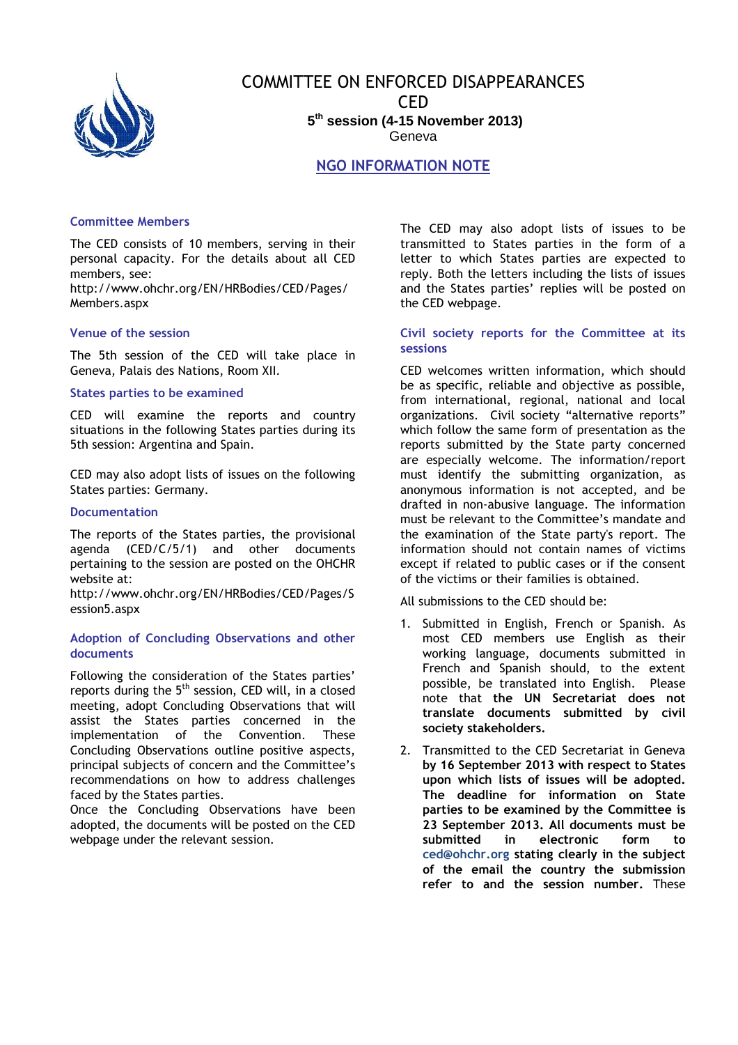

# COMMITTEE ON ENFORCED DISAPPEARANCES CED **5 th session (4-15 November 2013)** Geneva

## NGO INFORMATION NOTE

## Committee Members

The CED consists of 10 members, serving in their personal capacity. For the details about all CED members, see:

http://www.ohchr.org/EN/HRBodies/CED/Pages/ Members.aspx

#### Venue of the session

The 5th session of the CED will take place in Geneva, Palais des Nations, Room XII.

#### States parties to be examined

CED will examine the reports and country situations in the following States parties during its 5th session: Argentina and Spain.

CED may also adopt lists of issues on the following States parties: Germany.

#### Documentation

The reports of the States parties, the provisional agenda (CED/C/5/1) and other documents pertaining to the session are posted on the OHCHR website at:

http://www.ohchr.org/EN/HRBodies/CED/Pages/S ession5.aspx

#### Adoption of Concluding Observations and other documents

Following the consideration of the States parties' reports during the  $5<sup>th</sup>$  session, CED will, in a closed meeting, adopt Concluding Observations that will assist the States parties concerned in the implementation of the Convention. These Concluding Observations outline positive aspects, principal subjects of concern and the Committee's recommendations on how to address challenges faced by the States parties.

Once the Concluding Observations have been adopted, the documents will be posted on the CED webpage under the relevant session.

The CED may also adopt lists of issues to be transmitted to States parties in the form of a letter to which States parties are expected to reply. Both the letters including the lists of issues and the States parties' replies will be posted on the CED webpage.

### Civil society reports for the Committee at its sessions

CED welcomes written information, which should be as specific, reliable and objective as possible, from international, regional, national and local organizations. Civil society "alternative reports" which follow the same form of presentation as the reports submitted by the State party concerned are especially welcome. The information/report must identify the submitting organization, as anonymous information is not accepted, and be drafted in non-abusive language. The information must be relevant to the Committee's mandate and the examination of the State party's report. The information should not contain names of victims except if related to public cases or if the consent of the victims or their families is obtained.

All submissions to the CED should be:

- 1. Submitted in English, French or Spanish. As most CED members use English as their working language, documents submitted in French and Spanish should, to the extent possible, be translated into English. Please note that the UN Secretariat does not translate documents submitted by civil society stakeholders.
- 2. Transmitted to the CED Secretariat in Geneva by 16 September 2013 with respect to States upon which lists of issues will be adopted. The deadline for information on State parties to be examined by the Committee is 23 September 2013. All documents must be submitted in electronic form to ced@ohchr.org stating clearly in the subject of the email the country the submission refer to and the session number. These